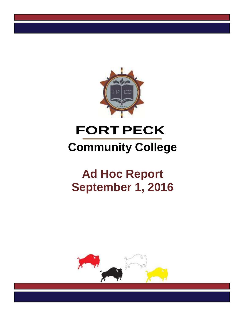

# **FORTPECK Community College**

# **Ad Hoc Report September 1, 2016**

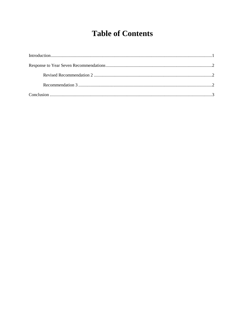## **Table of Contents**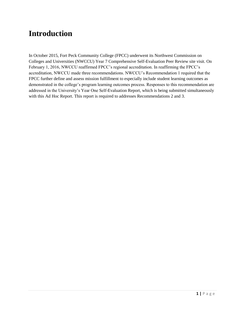### **Introduction**

In October 2015, Fort Peck Community College (FPCC) underwent its Northwest Commission on Colleges and Universities (NWCCU) Year 7 Comprehensive Self-Evaluation Peer Review site visit. On February 1, 2016, NWCCU reaffirmed FPCC's regional accreditation. In reaffirming the FPCC's accreditation, NWCCU made three recommendations. NWCCU's Recommendation 1 required that the FPCC further define and assess mission fulfillment to especially include student learning outcomes as demonstrated in the college's program learning outcomes process. Responses to this recommendation are addressed in the University's Year One Self-Evaluation Report, which is being submitted simultaneously with this Ad Hoc Report. This report is required to addresses Recommendations 2 and 3.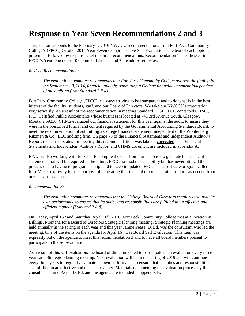### **Response to Year Seven Recommendations 2 and 3**

This section responds to the February 1, 2016 NWCCU recommendations from Fort Peck Community College's (FPCC) October 2015 Year Seven Comprehensive Self-Evaluation. The text of each topic is presented, followed by responses. Of the three recommendations, Recommendation 1 is addressed in FPCC's Year One report, Recommendations 2 and 3 are addressed below.

#### *Revised Recommendation 2:*

*The evaluation committee recommends that Fort Peck Community College address the finding in the September 30, 2014, financial audit by submitting a College financial statement independent of the auditing firm (Standard 2.F.4).*

Fort Peck Community College (FPCC) is always striving to be transparent and to do what is in the best interest of the faculty, students, staff, and our Board of Directors. We take our NWCCU accreditation very seriously. As a result of the recommendation in meeting Standard 2.F.4, FPCC contacted CHMS, P.C., Certified Public Accountants whose business is located at 741 3rd Avenue South, Glasgow, Montana 59230. CHMS evaluated our financial statement for this year against the audit, to insure they were in the prescribed format and content required by the Governmental Accounting Standards Board, to meet the recommendation of submitting a College financial statement independent of the Wohlenberg Ritzman & Co., LLC auditing firm. On page 73 of the Financial Statements and Independent Auditor's Report, the current status for meeting this recommendation, was labeled **corrected**. The Financial Statements and Independent Auditor's Report and CHMS document are included in appendix A.

FPCC is also working with Jenzabar to compile the data from our database to generate the financial statements that will be required in the future. FPCC has had this capability but has never utilized the process due to having to program a script and to keep it updated. FPCC has a software program called Info-Maker expressly for this purpose of generating the financial reports and other reports as needed from our Jenzabar database.

#### *Recommendation 3:*

*The evaluation committee recommends that the College Board of Directors regularly evaluate its own performance to ensure that its duties and responsibilities are fulfilled in an effective and efficient manner (Standard 2.A.8).*

On Friday, April 15<sup>th</sup> and Saturday, April 16<sup>th</sup>, 2016, Fort Peck Community College met at a location in Billings, Montana for a Board of Directors Strategic Planning meeting. Strategic Planning meetings are held annually in the spring of each year and this year Janine Pease, D. Ed. was the consultant who led the meeting. One of the items on the agenda for April 16<sup>th</sup> was Board Self Evaluation. This item was expressly put on the agenda to meet this recommendation 3 and to have all board members present to participate in the self-evaluation.

As a result of this self-evaluation, the board of directors voted to participate in an evaluation every three years at a Strategic Planning meeting. Next evaluation will be in the spring of 2019 and will continue every three years to regularly evaluate its own performance to ensure that its duties and responsibilities are fulfilled in an effective and efficient manner. Materials documenting the evaluation process by the consultant Janine Pease, D. Ed. and the agenda are included in appendix B.